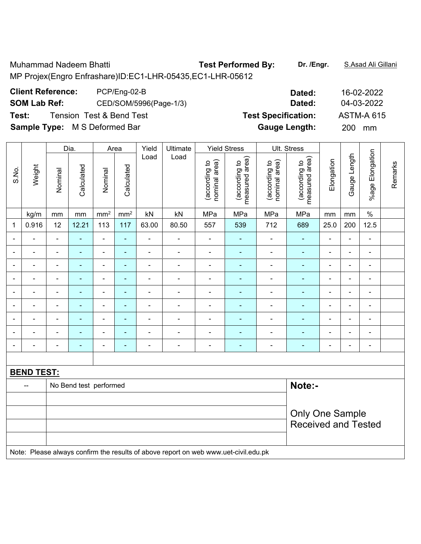Muhammad Nadeem Bhatti **Test Performed By: Dr. /Engr.** S.Asad Ali Gillani

MP Projex(Engro Enfrashare)ID:EC1-LHR-05435,EC1-LHR-05612

**Client Reference:** PCP/Eng-02-B **Dated:** 16-02-2022

**Sample Type:** M S Deformed Bar **Gauge Length:** 200 mm

|                |                                                                                     |                | Dia.                             | Area            |                 | Yield          | Ultimate       |                                | <b>Yield Stress</b>             |                                | Ult. Stress                     |                          |                |                              |         |
|----------------|-------------------------------------------------------------------------------------|----------------|----------------------------------|-----------------|-----------------|----------------|----------------|--------------------------------|---------------------------------|--------------------------------|---------------------------------|--------------------------|----------------|------------------------------|---------|
| S.No.          | Weight                                                                              | Nominal        | Calculated                       | Nominal         | Calculated      | Load           | Load           | nominal area)<br>(according to | measured area)<br>(according to | nominal area)<br>(according to | measured area)<br>(according to | Elongation               | Gauge Length   | %age Elongation              | Remarks |
|                | kg/m                                                                                | mm             | mm                               | mm <sup>2</sup> | mm <sup>2</sup> | kN             | MPa            | MPa                            | mm                              | mm                             | $\%$                            |                          |                |                              |         |
| 1              | 0.916                                                                               | 12             | 12.21                            | 113             | 117             | 63.00          | 80.50          | 557                            | 539                             | 712                            | 689                             | 25.0                     | 200            | 12.5                         |         |
| ÷              | ÷                                                                                   | $\blacksquare$ | ä,                               | $\frac{1}{2}$   | ä,              | ä,             | $\blacksquare$ | $\blacksquare$                 | $\blacksquare$                  | $\overline{a}$                 | ÷,                              | $\blacksquare$           | $\blacksquare$ | ÷,                           |         |
| $\blacksquare$ | $\blacksquare$                                                                      | $\blacksquare$ | ÷,                               | $\blacksquare$  | ä,              | $\blacksquare$ | $\blacksquare$ | $\blacksquare$                 | $\blacksquare$                  | $\blacksquare$                 | ä,                              | $\blacksquare$           | $\blacksquare$ | $\qquad \qquad \blacksquare$ |         |
| ÷              | $\blacksquare$                                                                      | $\blacksquare$ | L.                               | $\blacksquare$  | ä,              | ä,             | ä,             | $\blacksquare$                 | L,                              | $\blacksquare$                 | ä,                              | ä,                       | $\overline{a}$ | ä,                           |         |
|                |                                                                                     | $\blacksquare$ |                                  | $\blacksquare$  |                 |                |                | ä,                             |                                 | Ē,                             | $\blacksquare$                  |                          |                | $\blacksquare$               |         |
| $\overline{a}$ |                                                                                     | $\blacksquare$ | ۰                                | $\blacksquare$  | ÷               | $\blacksquare$ | $\blacksquare$ | $\blacksquare$                 | $\blacksquare$                  | $\blacksquare$                 | ۰                               | $\blacksquare$           | $\blacksquare$ | $\blacksquare$               |         |
| $\blacksquare$ | $\blacksquare$                                                                      | $\blacksquare$ | ÷                                | $\blacksquare$  | ۰               | $\blacksquare$ | $\blacksquare$ | $\blacksquare$                 | $\blacksquare$                  | $\blacksquare$                 | $\blacksquare$                  | $\overline{\phantom{a}}$ | $\blacksquare$ | $\blacksquare$               |         |
| ۰              | ٠                                                                                   | $\blacksquare$ | ä,                               | $\blacksquare$  | ÷               | $\frac{1}{2}$  | $\blacksquare$ | $\blacksquare$                 | $\blacksquare$                  | $\qquad \qquad \blacksquare$   | ٠                               | $\overline{\phantom{a}}$ | $\blacksquare$ | $\qquad \qquad \blacksquare$ |         |
| ÷              | $\blacksquare$                                                                      | $\blacksquare$ | $\blacksquare$                   | $\blacksquare$  | ٠               | $\blacksquare$ | $\blacksquare$ | $\blacksquare$                 | $\blacksquare$                  | $\blacksquare$                 | ä,                              | $\blacksquare$           | $\blacksquare$ | $\blacksquare$               |         |
| $\blacksquare$ | ä,                                                                                  | $\blacksquare$ | ÷,                               | $\frac{1}{2}$   | ä,              | ÷              | $\blacksquare$ | $\blacksquare$                 | $\blacksquare$                  | $\blacksquare$                 | ÷,                              | $\blacksquare$           | $\blacksquare$ | ÷,                           |         |
|                |                                                                                     |                |                                  |                 |                 |                |                |                                |                                 |                                |                                 |                          |                |                              |         |
|                | <b>BEND TEST:</b>                                                                   |                |                                  |                 |                 |                |                |                                |                                 |                                |                                 |                          |                |                              |         |
|                | --                                                                                  |                | Note:-<br>No Bend test performed |                 |                 |                |                |                                |                                 |                                |                                 |                          |                |                              |         |
|                |                                                                                     |                |                                  |                 |                 |                |                |                                |                                 |                                |                                 |                          |                |                              |         |
|                |                                                                                     |                |                                  |                 |                 |                |                |                                |                                 |                                | <b>Only One Sample</b>          |                          |                |                              |         |
|                |                                                                                     |                |                                  |                 |                 |                |                |                                |                                 |                                | <b>Received and Tested</b>      |                          |                |                              |         |
|                |                                                                                     |                |                                  |                 |                 |                |                |                                |                                 |                                |                                 |                          |                |                              |         |
|                | Note: Please always confirm the results of above report on web www.uet-civil.edu.pk |                |                                  |                 |                 |                |                |                                |                                 |                                |                                 |                          |                |                              |         |

**SOM Lab Ref:** CED/SOM/5996(Page-1/3) **Dated:** 04-03-2022 **Test:** Tension Test & Bend Test **Test Specification:** ASTM-A 615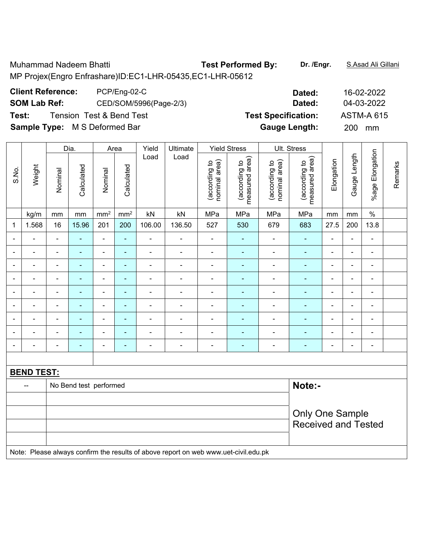Muhammad Nadeem Bhatti **Test Performed By: Dr. /Engr.** S.Asad Ali Gillani

MP Projex(Engro Enfrashare)ID:EC1-LHR-05435,EC1-LHR-05612

**Client Reference:** PCP/Eng-02-C **Dated:** 16-02-2022

**SOM Lab Ref:** CED/SOM/5996(Page-2/3) **Dated:** 04-03-2022

**Test:** Tension Test & Bend Test **Test Specification:** ASTM-A 615

**Sample Type:** M S Deformed Bar **Gauge Length:** 200 mm

|                |                                                                                     |                                  | Dia.                     | Area                         |                 | Yield<br>Ultimate |                          | <b>Yield Stress</b>            |                                 | Ult. Stress                    |                                 |                          |                |                          |         |
|----------------|-------------------------------------------------------------------------------------|----------------------------------|--------------------------|------------------------------|-----------------|-------------------|--------------------------|--------------------------------|---------------------------------|--------------------------------|---------------------------------|--------------------------|----------------|--------------------------|---------|
| S.No.          | Weight                                                                              | Nominal                          | Calculated               | Nominal                      | Calculated      | Load              | Load                     | nominal area)<br>(according to | (according to<br>measured area) | nominal area)<br>(according to | measured area)<br>(according to | Elongation               | Gauge Length   | <b>%age Elongation</b>   | Remarks |
|                | kg/m                                                                                | mm                               | mm                       | mm <sup>2</sup>              | mm <sup>2</sup> | kN                | kN                       | MPa                            | MPa                             | MPa                            | MPa                             | mm                       | $\,mm$         | $\frac{0}{0}$            |         |
| 1              | 1.568                                                                               | 16                               | 15.96                    | 201                          | 200             | 106.00            | 136.50                   | 527                            | 530                             | 679                            | 683                             | 27.5                     | 200            | 13.8                     |         |
|                |                                                                                     | $\blacksquare$                   | $\blacksquare$           | $\blacksquare$               | $\blacksquare$  | L.                | $\blacksquare$           | $\blacksquare$                 | ä,                              | $\blacksquare$                 | $\sim$                          | $\blacksquare$           | $\overline{a}$ | $\blacksquare$           |         |
|                |                                                                                     | ٠                                | ۰                        | $\blacksquare$               | ۰               | ÷                 | $\overline{\phantom{0}}$ | $\blacksquare$                 |                                 |                                | $\blacksquare$                  | ٠                        | $\blacksquare$ | $\overline{a}$           |         |
| $\blacksquare$ | $\overline{\phantom{a}}$                                                            | $\blacksquare$                   | $\overline{\phantom{0}}$ | $\blacksquare$               | ٠               | $\blacksquare$    | $\overline{\phantom{0}}$ | $\blacksquare$                 | $\overline{\phantom{0}}$        | $\blacksquare$                 | $\blacksquare$                  | $\blacksquare$           | $\blacksquare$ | $\blacksquare$           |         |
| $\blacksquare$ | $\overline{\phantom{0}}$                                                            | $\blacksquare$                   | $\blacksquare$           | $\overline{\phantom{a}}$     | $\blacksquare$  | ä,                | $\overline{\phantom{a}}$ | $\blacksquare$                 | $\blacksquare$                  | ÷                              | $\blacksquare$                  | $\overline{\phantom{a}}$ | $\blacksquare$ | $\blacksquare$           |         |
| ä,             | $\blacksquare$                                                                      | Ē,                               | ä,                       | $\qquad \qquad \blacksquare$ | $\blacksquare$  | ÷,                | $\blacksquare$           | $\blacksquare$                 | $\blacksquare$                  | ä,                             | $\blacksquare$                  | $\blacksquare$           | $\blacksquare$ | $\overline{\phantom{a}}$ |         |
| $\blacksquare$ | $\blacksquare$                                                                      | ä,                               | ÷,                       | ÷,                           | $\blacksquare$  | ÷,                | $\blacksquare$           | $\blacksquare$                 | ÷,                              | ÷,                             | $\blacksquare$                  | $\blacksquare$           | $\blacksquare$ | $\blacksquare$           |         |
|                | $\blacksquare$                                                                      | Ē,                               | ۰                        | $\blacksquare$               | ۰               | $\blacksquare$    | $\overline{\phantom{0}}$ | $\blacksquare$                 |                                 | $\blacksquare$                 | $\blacksquare$                  | ٠                        | $\blacksquare$ | $\blacksquare$           |         |
|                |                                                                                     |                                  |                          | $\blacksquare$               | $\blacksquare$  | $\blacksquare$    |                          | $\blacksquare$                 |                                 |                                | $\blacksquare$                  |                          |                | $\blacksquare$           |         |
| ٠              |                                                                                     | $\blacksquare$                   | ٠                        | $\blacksquare$               | ۰               | $\blacksquare$    | $\overline{\phantom{0}}$ | ä,                             | ٠                               | ٠                              | $\blacksquare$                  | $\blacksquare$           | $\blacksquare$ | $\blacksquare$           |         |
|                |                                                                                     |                                  |                          |                              |                 |                   |                          |                                |                                 |                                |                                 |                          |                |                          |         |
|                | <b>BEND TEST:</b>                                                                   |                                  |                          |                              |                 |                   |                          |                                |                                 |                                |                                 |                          |                |                          |         |
|                |                                                                                     | Note:-<br>No Bend test performed |                          |                              |                 |                   |                          |                                |                                 |                                |                                 |                          |                |                          |         |
|                |                                                                                     |                                  |                          |                              |                 |                   |                          |                                |                                 |                                |                                 |                          |                |                          |         |
|                |                                                                                     |                                  |                          |                              |                 |                   |                          |                                |                                 |                                | <b>Only One Sample</b>          |                          |                |                          |         |
|                |                                                                                     |                                  |                          |                              |                 |                   |                          |                                |                                 |                                | <b>Received and Tested</b>      |                          |                |                          |         |
|                |                                                                                     |                                  |                          |                              |                 |                   |                          |                                |                                 |                                |                                 |                          |                |                          |         |
|                | Note: Please always confirm the results of above report on web www.uet-civil.edu.pk |                                  |                          |                              |                 |                   |                          |                                |                                 |                                |                                 |                          |                |                          |         |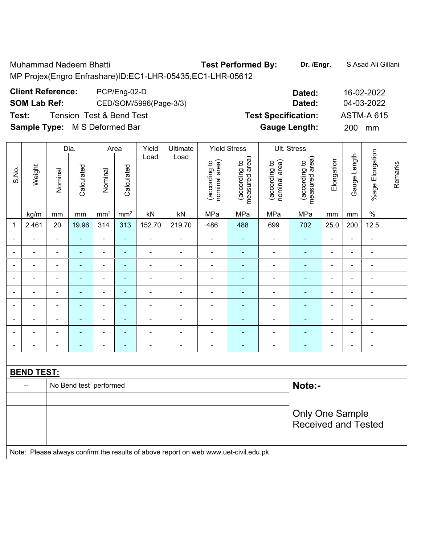Muhammad Nadeem Bhatti **Test Performed By: Dr. /Engr.** S.Asad Ali Gillani

MP Projex(Engro Enfrashare)ID:EC1-LHR-05435,EC1-LHR-05612

**Client Reference:** PCP/Eng-02-D

**SOM Lab Ref:** CED/SOM/5996(Page-3/3)

**Test:** Tension Test & Bend Test **Test Specification:** ASTM-A 615

**Sample Type:** M S Deformed Bar **Gauge Length:** 200 mm

|                          |                   |                                  | Dia.           | Area                         |                 | Yield          | Ultimate                                                                            |                                | <b>Yield Stress</b>             |                                | Ult. Stress                     |                |                |                 |         |
|--------------------------|-------------------|----------------------------------|----------------|------------------------------|-----------------|----------------|-------------------------------------------------------------------------------------|--------------------------------|---------------------------------|--------------------------------|---------------------------------|----------------|----------------|-----------------|---------|
| S.No.                    | Weight            | Nominal                          | Calculated     | Nominal                      | Calculated      | Load           | Load                                                                                | nominal area)<br>(according to | measured area)<br>(according to | (according to<br>nominal area) | measured area)<br>(according to | Elongation     | Gauge Length   | %age Elongation | Remarks |
|                          | kg/m              | mm                               | mm             | mm <sup>2</sup>              | mm <sup>2</sup> | kN             | kN                                                                                  | MPa                            | MPa                             | MPa                            | MPa                             | mm             | mm             | $\%$            |         |
| 1                        | 2.461             | 20                               | 19.96          | 314                          | 313             | 152.70         | 219.70                                                                              | 486                            | 488                             | 699                            | 702                             | 25.0           | 200            | 12.5            |         |
|                          |                   | $\blacksquare$                   | $\blacksquare$ | $\blacksquare$               | $\blacksquare$  | ÷              | $\overline{\phantom{a}}$                                                            | $\blacksquare$                 | ÷                               | ä,                             | $\blacksquare$                  | $\blacksquare$ | $\overline{a}$ | $\blacksquare$  |         |
|                          |                   | $\blacksquare$                   | -              | $\blacksquare$               | ۰               | -              | $\blacksquare$                                                                      | Ē,                             |                                 |                                | ÷                               | Ē,             | $\blacksquare$ | $\blacksquare$  |         |
| $\overline{\phantom{0}}$ |                   | $\blacksquare$                   | ٠              | $\blacksquare$               | ٠               | $\blacksquare$ | $\blacksquare$                                                                      | $\overline{\phantom{a}}$       | $\blacksquare$                  | $\blacksquare$                 | $\blacksquare$                  | $\blacksquare$ | $\blacksquare$ | $\blacksquare$  |         |
| $\blacksquare$           | $\blacksquare$    | $\blacksquare$                   | $\blacksquare$ | $\qquad \qquad \blacksquare$ | ٠               | ÷,             | $\qquad \qquad \blacksquare$                                                        | $\blacksquare$                 | ٠                               | ÷                              | $\blacksquare$                  | $\blacksquare$ | ÷,             | $\blacksquare$  |         |
| $\overline{\phantom{0}}$ |                   | $\blacksquare$                   | $\blacksquare$ | $\blacksquare$               | $\blacksquare$  | ۰              | $\overline{\phantom{a}}$                                                            | ÷,                             | ٠                               | ÷                              | $\blacksquare$                  | $\blacksquare$ | $\blacksquare$ | $\blacksquare$  |         |
| $\overline{\phantom{0}}$ | $\blacksquare$    | $\blacksquare$                   | $\blacksquare$ | $\blacksquare$               | $\blacksquare$  | ÷,             | $\blacksquare$                                                                      | $\blacksquare$                 | ٠                               | $\blacksquare$                 | $\blacksquare$                  | $\blacksquare$ | $\blacksquare$ | $\blacksquare$  |         |
|                          |                   | ٠                                | ä,             | $\blacksquare$               | ۰               | Ē,             |                                                                                     | Ē,                             |                                 |                                | ÷                               |                |                | $\blacksquare$  |         |
|                          |                   |                                  | ۳              | ۰                            | ٠               | ۰              |                                                                                     |                                |                                 | $\blacksquare$                 | $\blacksquare$                  |                |                | $\blacksquare$  |         |
| $\overline{a}$           |                   | $\blacksquare$                   | $\blacksquare$ | $\blacksquare$               | ۰               | ۰              | $\blacksquare$                                                                      | ÷                              | $\overline{a}$                  | $\blacksquare$                 | $\blacksquare$                  | $\blacksquare$ | $\blacksquare$ | $\blacksquare$  |         |
|                          |                   |                                  |                |                              |                 |                |                                                                                     |                                |                                 |                                |                                 |                |                |                 |         |
|                          | <b>BEND TEST:</b> |                                  |                |                              |                 |                |                                                                                     |                                |                                 |                                |                                 |                |                |                 |         |
|                          | $\overline{a}$    | Note:-<br>No Bend test performed |                |                              |                 |                |                                                                                     |                                |                                 |                                |                                 |                |                |                 |         |
|                          |                   |                                  |                |                              |                 |                |                                                                                     |                                |                                 |                                |                                 |                |                |                 |         |
|                          |                   |                                  |                |                              |                 |                |                                                                                     |                                |                                 |                                | <b>Only One Sample</b>          |                |                |                 |         |
|                          |                   |                                  |                |                              |                 |                |                                                                                     |                                |                                 |                                | <b>Received and Tested</b>      |                |                |                 |         |
|                          |                   |                                  |                |                              |                 |                |                                                                                     |                                |                                 |                                |                                 |                |                |                 |         |
|                          |                   |                                  |                |                              |                 |                | Note: Please always confirm the results of above report on web www.uet-civil.edu.pk |                                |                                 |                                |                                 |                |                |                 |         |

| Dated:                | 16-02-2022        |
|-----------------------|-------------------|
| Dated:                | 04-03-2022        |
| <b>Specification:</b> | <b>ASTM-A 615</b> |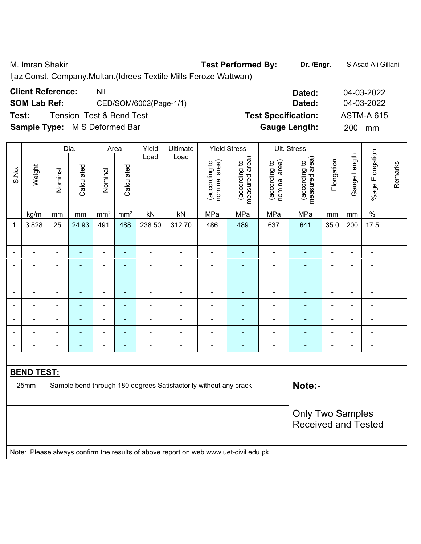M. Imran Shakir **Test Performed By: Dr. /Engr.** S.Asad Ali Gillani

Ijaz Const. Company.Multan.(Idrees Textile Mills Feroze Wattwan)

| <b>Client Reference:</b>             | Nil                      | Dated:                     | 04-03-2022        |
|--------------------------------------|--------------------------|----------------------------|-------------------|
| <b>SOM Lab Ref:</b>                  | CED/SOM/6002(Page-1/1)   | Dated:                     | 04-03-2022        |
| Test:                                | Tension Test & Bend Test | <b>Test Specification:</b> | <b>ASTM-A 615</b> |
| <b>Sample Type:</b> M S Deformed Bar |                          | <b>Gauge Length:</b>       | <b>200</b><br>mm  |

|                          |                          |                | Dia.           |                              | Area            | Yield<br>Ultimate        |                                                                  | <b>Yield Stress</b>            |                                 | Ult. Stress                    |                                 |                |                |                              |         |
|--------------------------|--------------------------|----------------|----------------|------------------------------|-----------------|--------------------------|------------------------------------------------------------------|--------------------------------|---------------------------------|--------------------------------|---------------------------------|----------------|----------------|------------------------------|---------|
| S.No.                    | Weight                   | Nominal        | Calculated     | Nominal                      | Calculated      | Load                     | Load                                                             | nominal area)<br>(according to | measured area)<br>(according to | (according to<br>nominal area) | (according to<br>measured area) | Elongation     | Gauge Length   | %age Elongation              | Remarks |
|                          | kg/m                     | mm             | mm             | mm <sup>2</sup>              | mm <sup>2</sup> | kN                       | kN                                                               | MPa                            | MPa                             | MPa                            | MPa                             | mm             | mm             | $\%$                         |         |
| 1                        | 3.828                    | 25             | 24.93          | 491                          | 488             | 238.50                   | 312.70                                                           | 486                            | 489                             | 637                            | 641                             | 35.0           | 200            | 17.5                         |         |
| $\blacksquare$           |                          | $\blacksquare$ | $\blacksquare$ | $\qquad \qquad \blacksquare$ | ٠               | $\blacksquare$           | $\blacksquare$                                                   | $\blacksquare$                 | ۰                               | ÷,                             | $\blacksquare$                  |                | $\blacksquare$ | $\blacksquare$               |         |
|                          |                          | $\blacksquare$ | $\blacksquare$ | $\blacksquare$               | ۰               | $\blacksquare$           |                                                                  | $\blacksquare$                 | ۰                               | $\blacksquare$                 | $\blacksquare$                  | $\blacksquare$ | $\blacksquare$ | $\blacksquare$               |         |
| $\overline{\phantom{a}}$ | $\overline{\phantom{0}}$ | $\overline{a}$ | $\blacksquare$ | $\qquad \qquad \blacksquare$ | ۰               | $\blacksquare$           | $\blacksquare$                                                   | $\blacksquare$                 | $\overline{\phantom{0}}$        | ÷                              | ۰                               | $\blacksquare$ | $\overline{a}$ | $\blacksquare$               |         |
| $\blacksquare$           | $\blacksquare$           | $\blacksquare$ | $\blacksquare$ | $\overline{\phantom{a}}$     | ä,              | $\blacksquare$           |                                                                  | $\blacksquare$                 | ÷                               | ÷,                             |                                 | $\blacksquare$ | $\blacksquare$ | $\blacksquare$               |         |
|                          |                          |                |                | ۰                            | ۰               |                          |                                                                  |                                |                                 | $\blacksquare$                 |                                 |                | ÷              | $\blacksquare$               |         |
| $\overline{\phantom{a}}$ | $\blacksquare$           | $\blacksquare$ | $\blacksquare$ | $\overline{\phantom{a}}$     | $\blacksquare$  | $\blacksquare$           | $\blacksquare$                                                   | $\blacksquare$                 | $\overline{\phantom{0}}$        | $\blacksquare$                 | $\blacksquare$                  | $\blacksquare$ | $\blacksquare$ | $\blacksquare$               |         |
| $\overline{\phantom{0}}$ | $\blacksquare$           | $\blacksquare$ |                | $\overline{\phantom{a}}$     | ٠               | $\overline{\phantom{0}}$ |                                                                  | $\blacksquare$                 | ÷                               | $\blacksquare$                 |                                 |                | $\blacksquare$ | $\blacksquare$               |         |
|                          |                          |                |                | ۰                            | ۰               |                          |                                                                  |                                |                                 |                                |                                 |                | ٠              | $\blacksquare$               |         |
| $\overline{\phantom{a}}$ |                          | $\blacksquare$ | ٠              | $\blacksquare$               | ÷               | $\overline{\phantom{0}}$ | $\blacksquare$                                                   | $\overline{a}$                 | ۰                               | ۰                              | ٠                               | $\blacksquare$ | $\overline{a}$ | $\qquad \qquad \blacksquare$ |         |
|                          |                          |                |                |                              |                 |                          |                                                                  |                                |                                 |                                |                                 |                |                |                              |         |
|                          | <b>BEND TEST:</b>        |                |                |                              |                 |                          |                                                                  |                                |                                 |                                |                                 |                |                |                              |         |
|                          | 25mm                     |                |                |                              |                 |                          | Sample bend through 180 degrees Satisfactorily without any crack |                                |                                 |                                | Note:-                          |                |                |                              |         |
|                          |                          |                |                |                              |                 |                          |                                                                  |                                |                                 |                                |                                 |                |                |                              |         |
|                          |                          |                |                |                              |                 |                          |                                                                  |                                |                                 |                                | <b>Only Two Samples</b>         |                |                |                              |         |
|                          |                          |                |                |                              |                 |                          |                                                                  |                                |                                 |                                | <b>Received and Tested</b>      |                |                |                              |         |
|                          |                          |                |                |                              |                 |                          |                                                                  |                                |                                 |                                |                                 |                |                |                              |         |

Note: Please always confirm the results of above report on web www.uet-civil.edu.pk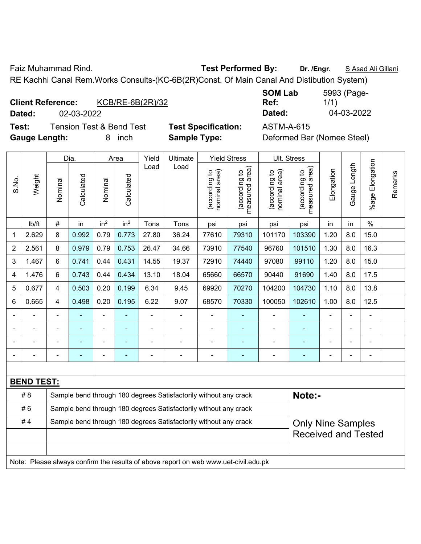Faiz Muhammad Rind. **Test Performed By: Dr. /Engr.** S Asad Ali Gillani

RE Kachhi Canal Rem.Works Consults-(KC-6B(2R)Const. Of Main Canal And Distibution System)

| <b>Client Reference:</b> |                             | KCB/RE-6B(2R)/32 |
|--------------------------|-----------------------------|------------------|
|                          | $\sim$ $\sim$ $\sim$ $\sim$ |                  |

**SOM Lab Ref:**  5993 (Page-1/1) **Dated:** 02-03-2022 **Dated:** 04-03-2022

**Test:** Tension Test & Bend Test **Test Specification:** ASTM-A-615 **Gauge Length:** 8 inch **Sample Type:** Deformed Bar (Nomee Steel)

|                |                                                                                     |                | Dia.                                                                       |                 | Area                     | Yield | Ultimate                                                         |                                | <b>Yield Stress</b>             |                                | Ult. Stress                     |            |                |                 |         |
|----------------|-------------------------------------------------------------------------------------|----------------|----------------------------------------------------------------------------|-----------------|--------------------------|-------|------------------------------------------------------------------|--------------------------------|---------------------------------|--------------------------------|---------------------------------|------------|----------------|-----------------|---------|
| S.No.          | Weight                                                                              | Nominal        | Calculated                                                                 | Nominal         | Calculated               | Load  | Load                                                             | nominal area)<br>(according to | (according to<br>measured area) | (according to<br>nominal area) | measured area)<br>(according to | Elongation | Gauge Length   | %age Elongation | Remarks |
|                | lb/ft                                                                               | $\#$           | in                                                                         | in <sup>2</sup> | in <sup>2</sup>          | Tons  | Tons                                                             | psi                            | psi                             | psi                            | psi                             | in         | in             | $\%$            |         |
| 1              | 2.629                                                                               | 8              | 0.992                                                                      | 0.79            | 0.773                    | 27.80 | 36.24                                                            | 77610                          | 79310                           | 101170                         | 103390                          | 1.20       | 8.0            | 15.0            |         |
| $\overline{2}$ | 2.561                                                                               | 8              | 0.979                                                                      | 0.79            | 0.753                    | 26.47 | 34.66                                                            | 73910                          | 77540                           | 96760                          | 101510                          | 1.30       | 8.0            | 16.3            |         |
| 3              | 1.467                                                                               | 6              | 0.741                                                                      | 0.44            | 0.431                    | 14.55 | 19.37                                                            | 72910                          | 74440                           | 97080                          | 99110                           | 1.20       | 8.0            | 15.0            |         |
| 4              | 1.476                                                                               | 6              | 0.743                                                                      | 0.44            | 0.434                    | 13.10 | 18.04                                                            | 65660                          | 66570                           | 90440                          | 91690                           | 1.40       | 8.0            | 17.5            |         |
| 5              | 0.677                                                                               | 4              | 0.503                                                                      | 0.20            | 0.199                    | 6.34  | 9.45                                                             | 69920                          | 70270                           | 104200                         | 104730                          | 1.10       | 8.0            | 13.8            |         |
| 6              | 0.665                                                                               | 4              | 0.498                                                                      | 0.20            | 0.195                    | 6.22  | 9.07                                                             | 68570                          | 70330                           | 100050                         | 102610                          | 1.00       | 8.0            | 12.5            |         |
|                |                                                                                     |                |                                                                            | L,              |                          | ä,    | ÷.                                                               |                                | $\blacksquare$                  | ä,                             |                                 |            |                | $\blacksquare$  |         |
|                |                                                                                     |                |                                                                            |                 |                          |       |                                                                  |                                |                                 |                                |                                 |            |                |                 |         |
|                |                                                                                     |                |                                                                            | ä,              |                          |       | ÷                                                                | ä,                             | ä,                              | ä,                             |                                 |            |                |                 |         |
|                |                                                                                     | $\blacksquare$ | $\blacksquare$                                                             | $\blacksquare$  | $\overline{\phantom{a}}$ | ä,    | $\overline{a}$                                                   | $\blacksquare$                 | ٠                               |                                |                                 |            | $\blacksquare$ | $\overline{a}$  |         |
|                |                                                                                     |                |                                                                            |                 |                          |       |                                                                  |                                |                                 |                                |                                 |            |                |                 |         |
|                | <b>BEND TEST:</b>                                                                   |                |                                                                            |                 |                          |       |                                                                  |                                |                                 |                                |                                 |            |                |                 |         |
|                | # 8                                                                                 |                | Sample bend through 180 degrees Satisfactorily without any crack<br>Note:- |                 |                          |       |                                                                  |                                |                                 |                                |                                 |            |                |                 |         |
|                | #6                                                                                  |                |                                                                            |                 |                          |       | Sample bend through 180 degrees Satisfactorily without any crack |                                |                                 |                                |                                 |            |                |                 |         |
|                | #4                                                                                  |                |                                                                            |                 |                          |       | Sample bend through 180 degrees Satisfactorily without any crack |                                |                                 |                                | <b>Only Nine Samples</b>        |            |                |                 |         |
|                |                                                                                     |                |                                                                            |                 |                          |       |                                                                  |                                |                                 |                                | <b>Received and Tested</b>      |            |                |                 |         |
|                |                                                                                     |                |                                                                            |                 |                          |       |                                                                  |                                |                                 |                                |                                 |            |                |                 |         |
|                | Note: Please always confirm the results of above report on web www.uet-civil.edu.pk |                |                                                                            |                 |                          |       |                                                                  |                                |                                 |                                |                                 |            |                |                 |         |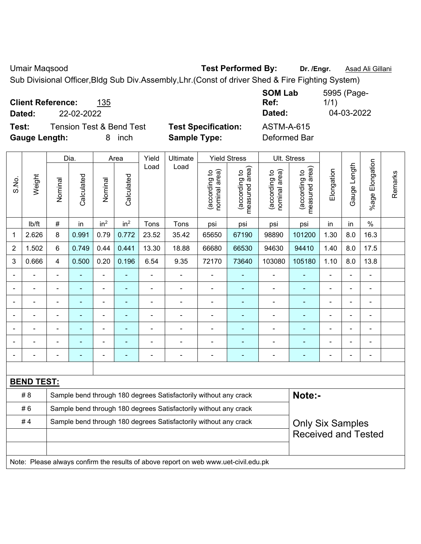Umair Maqsood **Test Performed By:** Dr. /Engr. **Asad Ali Gillani** 

Sub Divisional Officer,Bldg Sub Div.Assembly,Lhr.(Const of driver Shed & Fire Fighting System)

| <b>Client Reference:</b><br>135<br>22-02-2022<br>Dated: |                            | <b>SOM Lab</b><br>Ref:<br>Dated: | 5995 (Page-<br>1/1<br>04-03-2022 |
|---------------------------------------------------------|----------------------------|----------------------------------|----------------------------------|
| <b>Tension Test &amp; Bend Test</b><br>Test:            | <b>Test Specification:</b> | <b>ASTM-A-615</b>                |                                  |
| <b>Gauge Length:</b><br>inch                            | <b>Sample Type:</b>        | Deformed Bar                     |                                  |

|                              |                   |                                                                  | Dia.       |                          | Area            | Yield          | Ultimate                                                                            |                                | <b>Yield Stress</b>                         |                                | Ult. Stress                     |                |                          |                           |         |
|------------------------------|-------------------|------------------------------------------------------------------|------------|--------------------------|-----------------|----------------|-------------------------------------------------------------------------------------|--------------------------------|---------------------------------------------|--------------------------------|---------------------------------|----------------|--------------------------|---------------------------|---------|
| S.No.                        | Weight            | Nominal                                                          | Calculated | Nominal                  | Calculated      | Load           | Load                                                                                | nominal area)<br>(according to | (according to<br>measured area)<br>measured | (according to<br>nominal area) | measured area)<br>(according to | Elongation     | Gauge Length             | Elongation<br>$%$ age $ $ | Remarks |
|                              | lb/ft             | $\#$                                                             | in         | in <sup>2</sup>          | in <sup>2</sup> | Tons           | Tons                                                                                | psi                            | psi                                         | psi                            | psi                             | in             | in                       | $\frac{0}{0}$             |         |
| 1                            | 2.626             | 8                                                                | 0.991      | 0.79                     | 0.772           | 23.52          | 35.42                                                                               | 65650                          | 67190                                       | 98890                          | 101200                          | 1.30           | 8.0                      | 16.3                      |         |
| $\overline{2}$               | 1.502             | 6                                                                | 0.749      | 0.44                     | 0.441           | 13.30          | 18.88                                                                               | 66680                          | 66530                                       | 94630                          | 94410                           | 1.40           | 8.0                      | 17.5                      |         |
| 3                            | 0.666             | 4                                                                | 0.500      | 0.20                     | 0.196           | 6.54           | 9.35                                                                                | 72170                          | 73640                                       | 103080                         | 105180                          | 1.10           | 8.0                      | 13.8                      |         |
|                              |                   | $\blacksquare$                                                   | L,         | ÷,                       | ÷               | $\blacksquare$ |                                                                                     | ÷,                             | $\blacksquare$                              | $\blacksquare$                 | ÷,                              |                | $\blacksquare$           | $\blacksquare$            |         |
|                              | $\blacksquare$    | $\blacksquare$                                                   | L,         | $\blacksquare$           | ÷               | $\blacksquare$ | $\blacksquare$                                                                      | $\blacksquare$                 | $\blacksquare$                              | $\overline{\phantom{a}}$       | $\blacksquare$                  | $\blacksquare$ | $\overline{\phantom{a}}$ | $\blacksquare$            |         |
|                              |                   | ä,                                                               |            | ۰                        | ۰               |                |                                                                                     | ä,                             |                                             | ÷                              |                                 |                |                          | $\blacksquare$            |         |
|                              |                   |                                                                  | ۰          | $\overline{\phantom{0}}$ |                 |                |                                                                                     | $\overline{\phantom{0}}$       | $\overline{\phantom{0}}$                    | ٠                              | ۷                               |                |                          |                           |         |
|                              |                   |                                                                  |            |                          |                 |                |                                                                                     |                                |                                             | Ē,                             |                                 |                |                          | $\blacksquare$            |         |
| $\qquad \qquad \blacksquare$ |                   |                                                                  | ۰          | ۰                        |                 | $\blacksquare$ | $\blacksquare$                                                                      | $\overline{\phantom{0}}$       | $\overline{a}$                              | $\blacksquare$                 | ۰                               |                |                          | $\blacksquare$            |         |
| $\blacksquare$               |                   |                                                                  | ä,         | ÷                        | ۰               | ٠              | $\blacksquare$                                                                      | $\blacksquare$                 | ÷                                           | $\qquad \qquad \blacksquare$   | ÷                               |                |                          | ÷,                        |         |
|                              |                   |                                                                  |            |                          |                 |                |                                                                                     |                                |                                             |                                |                                 |                |                          |                           |         |
|                              | <b>BEND TEST:</b> |                                                                  |            |                          |                 |                |                                                                                     |                                |                                             |                                |                                 |                |                          |                           |         |
|                              | # 8               |                                                                  |            |                          |                 |                | Sample bend through 180 degrees Satisfactorily without any crack                    |                                |                                             |                                | Note:-                          |                |                          |                           |         |
|                              | #6                | Sample bend through 180 degrees Satisfactorily without any crack |            |                          |                 |                |                                                                                     |                                |                                             |                                |                                 |                |                          |                           |         |
|                              | #4                |                                                                  |            |                          |                 |                | Sample bend through 180 degrees Satisfactorily without any crack                    |                                |                                             |                                | <b>Only Six Samples</b>         |                |                          |                           |         |
|                              |                   |                                                                  |            |                          |                 |                |                                                                                     |                                |                                             |                                | <b>Received and Tested</b>      |                |                          |                           |         |
|                              |                   |                                                                  |            |                          |                 |                |                                                                                     |                                |                                             |                                |                                 |                |                          |                           |         |
|                              |                   |                                                                  |            |                          |                 |                | Note: Please always confirm the results of above report on web www.uet-civil.edu.pk |                                |                                             |                                |                                 |                |                          |                           |         |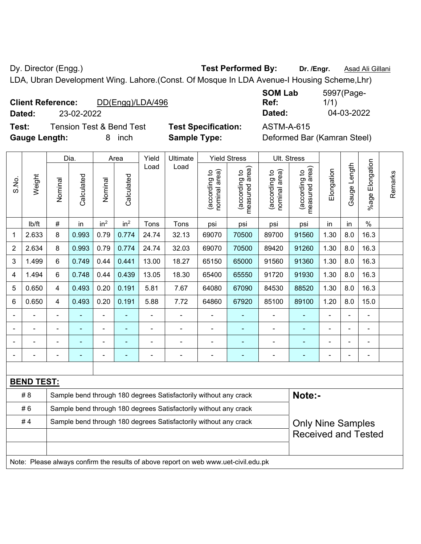Dy. Director (Engg.) **Test Performed By:** Dr. /Engr. **Asad Ali Gillani** Company Company Company Company Company Company Company Company Company Company Company Company Company Company Company Company Company Company Compan

LDA, Ubran Development Wing. Lahore.(Const. Of Mosque In LDA Avenue-I Housing Scheme,Lhr)

| <b>Client Reference:</b> |            | DD(Engg)/LDA/496 | Ref:               | 1/1        |  |
|--------------------------|------------|------------------|--------------------|------------|--|
| Dated:                   | 23-02-2022 |                  | Dated <sup>-</sup> | 04-03-2022 |  |

**Test:** Tension Test & Bend Test **Test Specification:** ASTM-A-615 **Gauge Length:** 8 inch **Sample Type:** Deformed Bar (Kamran Steel)

| <b>SOM Lab</b> | 5997(Page- |
|----------------|------------|
| Ref:           | 1/1)       |
| Dated:         | 04-03-2022 |

|                |                   |                                                                  | Dia.           |                 | Area            | Yield | Ultimate                                                                            |                                | <b>Yield Stress</b>             |                                | Ult. Stress                     |                          |                |                 |         |
|----------------|-------------------|------------------------------------------------------------------|----------------|-----------------|-----------------|-------|-------------------------------------------------------------------------------------|--------------------------------|---------------------------------|--------------------------------|---------------------------------|--------------------------|----------------|-----------------|---------|
| S.No.          | Weight            | Nominal                                                          | Calculated     | Nominal         | Calculated      | Load  | Load                                                                                | nominal area)<br>(according to | (according to<br>measured area) | nominal area)<br>(according to | measured area)<br>(according to | Elongation               | Gauge Length   | %age Elongation | Remarks |
|                | lb/ft             | $\#$                                                             | in             | in <sup>2</sup> | in <sup>2</sup> | Tons  | Tons                                                                                | psi                            | psi                             | psi                            | psi                             | in                       | in             | $\%$            |         |
| 1              | 2.633             | 8                                                                | 0.993          | 0.79            | 0.774           | 24.74 | 32.13                                                                               | 69070                          | 70500                           | 89700                          | 91560                           | 1.30                     | 8.0            | 16.3            |         |
| $\overline{2}$ | 2.634             | 8                                                                | 0.993          | 0.79            | 0.774           | 24.74 | 32.03                                                                               | 69070                          | 70500                           | 89420                          | 91260                           | 1.30                     | 8.0            | 16.3            |         |
| 3              | 1.499             | 6                                                                | 0.749          | 0.44            | 0.441           | 13.00 | 18.27                                                                               | 65150                          | 65000                           | 91560                          | 91360                           | 1.30                     | 8.0            | 16.3            |         |
| 4              | 1.494             | 6                                                                | 0.748          | 0.44            | 0.439           | 13.05 | 18.30                                                                               | 65400                          | 65550                           | 91720                          | 91930                           | 1.30                     | 8.0            | 16.3            |         |
| 5              | 0.650             | $\overline{4}$                                                   | 0.493          | 0.20            | 0.191           | 5.81  | 7.67                                                                                | 64080                          | 67090                           | 84530                          | 88520                           | 1.30                     | 8.0            | 16.3            |         |
| 6              | 0.650             | $\overline{4}$                                                   | 0.493          | 0.20            | 0.191           | 5.88  | 7.72                                                                                | 64860                          | 67920                           | 85100                          | 89100                           | 1.20                     | 8.0            | 15.0            |         |
|                | ÷                 |                                                                  |                | ÷,              |                 | ÷,    | -                                                                                   | $\overline{a}$                 | ÷                               | ۰                              |                                 | ä,                       | $\blacksquare$ | ÷,              |         |
|                |                   |                                                                  | $\blacksquare$ | $\blacksquare$  | $\blacksquare$  | ä,    | ÷.                                                                                  | $\blacksquare$                 | ä,                              | $\blacksquare$                 | L,                              | ä,                       | L,             | $\blacksquare$  |         |
|                |                   |                                                                  | ٠              | $\blacksquare$  | $\blacksquare$  |       | $\blacksquare$                                                                      | $\blacksquare$                 | ۰                               | ۰                              | $\overline{a}$                  |                          |                | $\blacksquare$  |         |
|                |                   |                                                                  |                | ÷               |                 |       | ÷                                                                                   | ä,                             | ÷                               | ÷                              |                                 |                          |                | $\blacksquare$  |         |
|                |                   |                                                                  |                |                 |                 |       |                                                                                     |                                |                                 |                                |                                 |                          |                |                 |         |
|                | <b>BEND TEST:</b> |                                                                  |                |                 |                 |       |                                                                                     |                                |                                 |                                |                                 |                          |                |                 |         |
|                | # 8               |                                                                  |                |                 |                 |       | Sample bend through 180 degrees Satisfactorily without any crack                    |                                |                                 |                                | Note:-                          |                          |                |                 |         |
|                | #6                |                                                                  |                |                 |                 |       | Sample bend through 180 degrees Satisfactorily without any crack                    |                                |                                 |                                |                                 |                          |                |                 |         |
|                | #4                | Sample bend through 180 degrees Satisfactorily without any crack |                |                 |                 |       |                                                                                     |                                |                                 |                                |                                 | <b>Only Nine Samples</b> |                |                 |         |
|                |                   |                                                                  |                |                 |                 |       |                                                                                     |                                |                                 |                                | <b>Received and Tested</b>      |                          |                |                 |         |
|                |                   |                                                                  |                |                 |                 |       |                                                                                     |                                |                                 |                                |                                 |                          |                |                 |         |
|                |                   |                                                                  |                |                 |                 |       | Note: Please always confirm the results of above report on web www.uet-civil.edu.pk |                                |                                 |                                |                                 |                          |                |                 |         |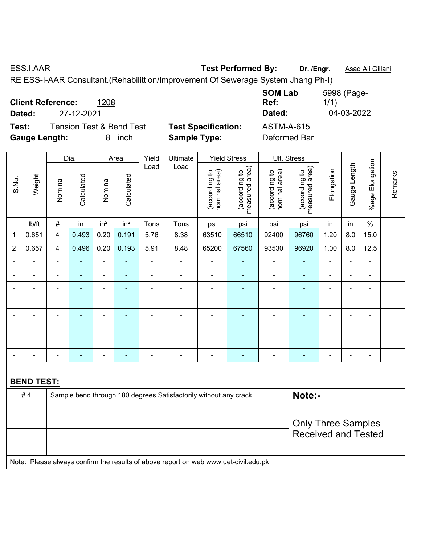ESS.I.AAR **Test Performed By: Dr. /Engr.** Asad Ali Gillani RE ESS-I-AAR Consultant.(Rehabilittion/Improvement Of Sewerage System Jhang Ph-I)

**Client Reference:** 1208 **SOM Lab Ref:**  5998 (Page-1/1) **Dated:** 27-12-2021 **Dated:** 04-03-2022 **Test:** Tension Test & Bend Test **Test Specification:** ASTM-A-615 **Gauge Length:** 8 inch **Sample Type:** Deformed Bar

|                              |                   |                          | Dia.           |                 | Area            | Yield          | Ultimate                                                                            |                                | <b>Yield Stress</b>             | Ult. Stress                    |                                 |                |                |                 |         |
|------------------------------|-------------------|--------------------------|----------------|-----------------|-----------------|----------------|-------------------------------------------------------------------------------------|--------------------------------|---------------------------------|--------------------------------|---------------------------------|----------------|----------------|-----------------|---------|
| S.No.                        | Weight            | Nominal                  | Calculated     | Nominal         | Calculated      | Load           | Load                                                                                | nominal area)<br>(according to | (according to<br>measured area) | nominal area)<br>(according to | measured area)<br>(according to | Elongation     | Gauge Length   | %age Elongation | Remarks |
|                              | lb/ft             | #                        | in             | in <sup>2</sup> | in <sup>2</sup> | Tons           | Tons                                                                                | psi                            | psi                             | psi                            | psi                             | in             | in             | $\%$            |         |
| 1                            | 0.651             | $\overline{\mathbf{4}}$  | 0.493          | 0.20            | 0.191           | 5.76           | 8.38                                                                                | 63510                          | 66510                           | 92400                          | 96760                           | 1.20           | 8.0            | 15.0            |         |
| $\overline{2}$               | 0.657             | $\overline{4}$           | 0.496          | 0.20            | 0.193           | 5.91           | 8.48                                                                                | 65200                          | 67560                           | 93530                          | 96920                           | 1.00           | 8.0            | 12.5            |         |
|                              |                   |                          | $\blacksquare$ | $\blacksquare$  | $\blacksquare$  | ä,             | $\blacksquare$                                                                      |                                |                                 | $\blacksquare$                 | $\blacksquare$                  | Ē,             | ä,             | ÷,              |         |
| $\blacksquare$               |                   |                          | $\blacksquare$ | ÷               | $\blacksquare$  | $\blacksquare$ | $\blacksquare$                                                                      | $\blacksquare$                 | $\blacksquare$                  | $\blacksquare$                 | $\blacksquare$                  | ÷,             | L.             | $\blacksquare$  |         |
| $\blacksquare$               |                   | $\blacksquare$           | $\blacksquare$ | $\blacksquare$  | $\blacksquare$  | $\blacksquare$ | $\blacksquare$                                                                      | $\blacksquare$                 | ۰                               | $\blacksquare$                 | ÷,                              | Ē,             | $\blacksquare$ | $\blacksquare$  |         |
| $\blacksquare$               | $\blacksquare$    | $\blacksquare$           | $\blacksquare$ | $\blacksquare$  | $\blacksquare$  | $\blacksquare$ | $\blacksquare$                                                                      | $\blacksquare$                 | ۰                               | $\blacksquare$                 | $\blacksquare$                  | $\blacksquare$ | ä,             | $\blacksquare$  |         |
| $\qquad \qquad \blacksquare$ | ۰                 | $\blacksquare$           | ÷,             | $\blacksquare$  | $\blacksquare$  | $\blacksquare$ | $\frac{1}{2}$                                                                       | $\blacksquare$                 | ۰                               | $\qquad \qquad \blacksquare$   | ۰                               | $\blacksquare$ | ÷,             | $\blacksquare$  |         |
| $\blacksquare$               | ÷.                | $\blacksquare$           | ÷,             | $\frac{1}{2}$   | $\blacksquare$  | $\blacksquare$ | $\blacksquare$                                                                      | $\blacksquare$                 | ÷                               | ÷,                             | $\blacksquare$                  | $\blacksquare$ | ä,             | $\blacksquare$  |         |
|                              |                   | $\overline{\phantom{a}}$ | $\blacksquare$ | $\blacksquare$  | $\blacksquare$  | $\blacksquare$ | $\blacksquare$                                                                      | $\blacksquare$                 | ä,                              | $\blacksquare$                 | ٠                               | ä,             | ä,             | $\blacksquare$  |         |
|                              | $\blacksquare$    | $\blacksquare$           | $\blacksquare$ | ۳               | $\blacksquare$  | $\blacksquare$ | $\blacksquare$                                                                      | $\blacksquare$                 | ۰                               | $\blacksquare$                 | $\blacksquare$                  | ۰              | L.             | $\blacksquare$  |         |
|                              |                   |                          |                |                 |                 |                |                                                                                     |                                |                                 |                                |                                 |                |                |                 |         |
|                              | <b>BEND TEST:</b> |                          |                |                 |                 |                |                                                                                     |                                |                                 |                                |                                 |                |                |                 |         |
|                              | #4                |                          |                |                 |                 |                | Sample bend through 180 degrees Satisfactorily without any crack                    |                                |                                 |                                | Note:-                          |                |                |                 |         |
|                              |                   |                          |                |                 |                 |                |                                                                                     |                                |                                 |                                |                                 |                |                |                 |         |
|                              |                   |                          |                |                 |                 |                | <b>Only Three Samples</b>                                                           |                                |                                 |                                |                                 |                |                |                 |         |
|                              |                   |                          |                |                 |                 |                |                                                                                     |                                |                                 |                                | <b>Received and Tested</b>      |                |                |                 |         |
|                              |                   |                          |                |                 |                 |                |                                                                                     |                                |                                 |                                |                                 |                |                |                 |         |
|                              |                   |                          |                |                 |                 |                | Note: Please always confirm the results of above report on web www.uet-civil.edu.pk |                                |                                 |                                |                                 |                |                |                 |         |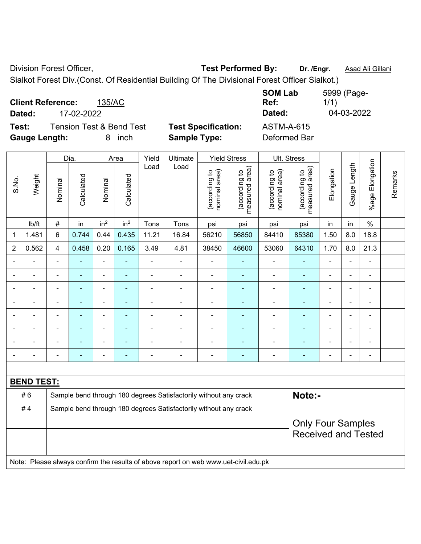Division Forest Officer, **Test Performed By: Dr. /Engr.** Asad Ali Gillani

Sialkot Forest Div.(Const. Of Residential Building Of The Divisional Forest Officer Sialkot.)

| <b>Client Reference:</b> |            | 135/AC                              |                            | <b>SOM Lab</b><br>Ref: | 5999 (Page-<br>1/1) |
|--------------------------|------------|-------------------------------------|----------------------------|------------------------|---------------------|
| Dated:                   | 17-02-2022 |                                     |                            | Dated:                 | 04-03-2022          |
| Test:                    |            | <b>Tension Test &amp; Bend Test</b> | <b>Test Specification:</b> | <b>ASTM-A-615</b>      |                     |
| <b>Gauge Length:</b>     |            | inch<br>8.                          | <b>Sample Type:</b>        | Deformed Bar           |                     |

|                          |                   |                | Dia.           |                              | Area            | Yield          | Ultimate                                                                            |                                | <b>Yield Stress</b>             | Ult. Stress                    |                                 |                          |                |                           |         |
|--------------------------|-------------------|----------------|----------------|------------------------------|-----------------|----------------|-------------------------------------------------------------------------------------|--------------------------------|---------------------------------|--------------------------------|---------------------------------|--------------------------|----------------|---------------------------|---------|
| S.No.                    | Weight            | Nominal        | Calculated     | Nominal                      | Calculated      | Load           | Load                                                                                | nominal area)<br>(according to | (according to<br>measured area) | nominal area)<br>(according to | measured area)<br>(according to | Elongation               | Gauge Length   | Elongation<br>$%$ age $ $ | Remarks |
|                          | lb/ft             | $\#$           | in             | in <sup>2</sup>              | in <sup>2</sup> | Tons           | Tons                                                                                | psi                            | psi                             | psi                            | psi                             | in                       | in             | $\%$                      |         |
| $\mathbf{1}$             | 1.481             | 6              | 0.744          | 0.44                         | 0.435           | 11.21          | 16.84                                                                               | 56210                          | 56850                           | 84410                          | 85380                           | 1.50                     | 8.0            | 18.8                      |         |
| $\overline{2}$           | 0.562             | $\overline{4}$ | 0.458          | 0.20                         | 0.165           | 3.49           | 4.81                                                                                | 38450                          | 46600                           | 53060                          | 64310                           | 1.70                     | 8.0            | 21.3                      |         |
|                          |                   | $\blacksquare$ |                | $\overline{a}$               |                 |                |                                                                                     | $\blacksquare$                 | ä,                              | ä,                             | $\overline{a}$                  | Ĭ.                       | $\overline{a}$ | L,                        |         |
| $\blacksquare$           | $\blacksquare$    | $\blacksquare$ | $\blacksquare$ | $\qquad \qquad \blacksquare$ | $\blacksquare$  | $\blacksquare$ | $\blacksquare$                                                                      | $\overline{\phantom{a}}$       | $\blacksquare$                  | $\overline{\phantom{a}}$       | $\blacksquare$                  | $\blacksquare$           | $\blacksquare$ | $\blacksquare$            |         |
| $\blacksquare$           | $\blacksquare$    | $\blacksquare$ | $\blacksquare$ | ÷                            | ٠               | $\blacksquare$ | $\blacksquare$                                                                      | $\blacksquare$                 | $\blacksquare$                  | $\overline{\phantom{a}}$       | ۰                               | $\overline{\phantom{a}}$ | $\blacksquare$ | $\blacksquare$            |         |
| $\overline{\phantom{a}}$ | ä,                | $\blacksquare$ | $\blacksquare$ | ÷,                           | $\blacksquare$  | ä,             | $\blacksquare$                                                                      | $\blacksquare$                 | $\blacksquare$                  | $\qquad \qquad \blacksquare$   | $\frac{1}{2}$                   | $\overline{\phantom{a}}$ | ÷,             | $\blacksquare$            |         |
|                          | $\overline{a}$    | $\blacksquare$ | $\blacksquare$ | ÷,                           | $\blacksquare$  | $\blacksquare$ | $\blacksquare$                                                                      | $\overline{\phantom{a}}$       | $\blacksquare$                  | $\qquad \qquad \blacksquare$   | $\blacksquare$                  | $\blacksquare$           | $\blacksquare$ | $\blacksquare$            |         |
|                          | $\blacksquare$    |                |                | $\blacksquare$               | ٠               |                |                                                                                     | $\blacksquare$                 | $\blacksquare$                  | ÷                              | ÷,                              |                          | ä,             | Ē,                        |         |
|                          |                   |                |                |                              |                 |                |                                                                                     | $\blacksquare$                 |                                 |                                | $\blacksquare$                  |                          |                | $\blacksquare$            |         |
|                          |                   |                |                |                              |                 |                |                                                                                     | $\blacksquare$                 |                                 |                                |                                 |                          |                | ÷,                        |         |
|                          |                   |                |                |                              |                 |                |                                                                                     |                                |                                 |                                |                                 |                          |                |                           |         |
|                          | <b>BEND TEST:</b> |                |                |                              |                 |                |                                                                                     |                                |                                 |                                |                                 |                          |                |                           |         |
|                          | #6                |                |                |                              |                 |                | Sample bend through 180 degrees Satisfactorily without any crack                    |                                |                                 |                                | Note:-                          |                          |                |                           |         |
|                          | #4                |                |                |                              |                 |                | Sample bend through 180 degrees Satisfactorily without any crack                    |                                |                                 |                                |                                 |                          |                |                           |         |
|                          |                   |                |                |                              |                 |                | <b>Only Four Samples</b>                                                            |                                |                                 |                                |                                 |                          |                |                           |         |
|                          |                   |                |                |                              |                 |                |                                                                                     |                                |                                 |                                | <b>Received and Tested</b>      |                          |                |                           |         |
|                          |                   |                |                |                              |                 |                |                                                                                     |                                |                                 |                                |                                 |                          |                |                           |         |
|                          |                   |                |                |                              |                 |                | Note: Please always confirm the results of above report on web www.uet-civil.edu.pk |                                |                                 |                                |                                 |                          |                |                           |         |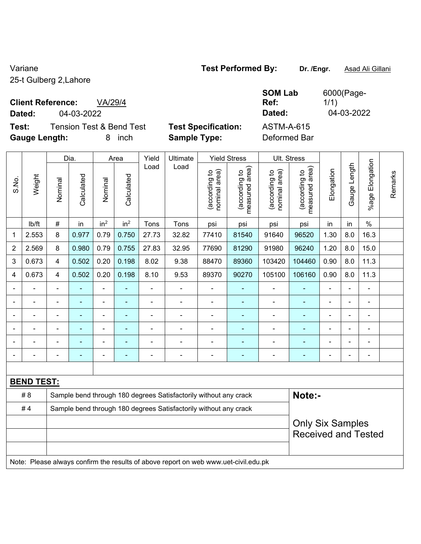25-t Gulberg 2,Lahore

## **Client Reference:** VA/29/4

**Dated:** 04-03-2022 **Dated:** 04-03-2022

**Test:** Tension Test & Bend Test **Test Specification:** ASTM-A-615 **Gauge Length:** 8 inch **Sample Type:** Deformed Bar

|      | Dated: |
|------|--------|
| ion: | ASTM-A |

6000(Page-1/1)

**SOM Lab Ref:** 

|                |                                                                                     | Dia.           |                                                                  | Area            |                 | Yield                    | Ultimate                                                         |                                | <b>Yield Stress</b>             | Ult. Stress                    |                                                       |                |              |                       |         |
|----------------|-------------------------------------------------------------------------------------|----------------|------------------------------------------------------------------|-----------------|-----------------|--------------------------|------------------------------------------------------------------|--------------------------------|---------------------------------|--------------------------------|-------------------------------------------------------|----------------|--------------|-----------------------|---------|
| S.No.          | Weight                                                                              | Nominal        | Calculated                                                       | Nominal         | Calculated      | Load                     | Load                                                             | nominal area)<br>(according to | measured area)<br>(according to | (according to<br>nominal area) | measured area)<br>(according to                       | Elongation     | Gauge Length | Elongation<br>$%$ age | Remarks |
|                | lb/ft                                                                               | $\#$           | in                                                               | in <sup>2</sup> | in <sup>2</sup> | Tons                     | Tons                                                             | psi                            | psi                             | psi                            | psi                                                   | in             | in           | $\%$                  |         |
| 1              | 2.553                                                                               | 8              | 0.977                                                            | 0.79            | 0.750           | 27.73                    | 32.82                                                            | 77410                          | 81540                           | 91640                          | 96520                                                 | 1.30           | 8.0          | 16.3                  |         |
| $\overline{2}$ | 2.569                                                                               | 8              | 0.980                                                            | 0.79            | 0.755           | 27.83                    | 32.95                                                            | 77690                          | 81290                           | 91980                          | 96240                                                 | 1.20           | 8.0          | 15.0                  |         |
| $\sqrt{3}$     | 0.673                                                                               | $\overline{4}$ | 0.502                                                            | 0.20            | 0.198           | 8.02                     | 9.38                                                             | 88470                          | 89360                           | 103420                         | 104460                                                | 0.90           | 8.0          | 11.3                  |         |
| 4              | 0.673                                                                               | 4              | 0.502                                                            | 0.20            | 0.198           | 8.10                     | 9.53                                                             | 89370                          | 90270                           | 105100                         | 106160                                                | 0.90           | 8.0          | 11.3                  |         |
|                |                                                                                     |                |                                                                  |                 |                 |                          |                                                                  |                                |                                 |                                |                                                       |                |              |                       |         |
|                |                                                                                     |                |                                                                  |                 | ۰               | ä,                       |                                                                  | Ē,                             |                                 | $\blacksquare$                 | $\blacksquare$                                        |                |              | $\blacksquare$        |         |
|                |                                                                                     | $\blacksquare$ |                                                                  | ä,              | ۰               | $\blacksquare$           |                                                                  |                                | ٠                               | ٠                              | $\blacksquare$                                        | $\blacksquare$ |              | ä,                    |         |
|                |                                                                                     | ÷              |                                                                  | -               | -               | $\blacksquare$           | Ē,                                                               | $\blacksquare$                 |                                 | ÷                              | ٠                                                     | $\blacksquare$ |              | $\overline{a}$        |         |
|                |                                                                                     | L,             |                                                                  | ÷               | ä,              | $\blacksquare$           | Ē,                                                               | ÷,                             |                                 | Ē,                             | ÷,                                                    |                |              | ÷,                    |         |
|                |                                                                                     | ۰              |                                                                  |                 | ÷               | $\overline{\phantom{0}}$ | ÷                                                                | $\blacksquare$                 | $\overline{\phantom{0}}$        | $\blacksquare$                 | $\blacksquare$                                        |                |              | $\blacksquare$        |         |
|                |                                                                                     |                |                                                                  |                 |                 |                          |                                                                  |                                |                                 |                                |                                                       |                |              |                       |         |
|                | <b>BEND TEST:</b>                                                                   |                |                                                                  |                 |                 |                          |                                                                  |                                |                                 |                                |                                                       |                |              |                       |         |
|                | #8                                                                                  |                |                                                                  |                 |                 |                          | Sample bend through 180 degrees Satisfactorily without any crack |                                |                                 |                                | Note:-                                                |                |              |                       |         |
|                | #4                                                                                  |                | Sample bend through 180 degrees Satisfactorily without any crack |                 |                 |                          |                                                                  |                                |                                 |                                |                                                       |                |              |                       |         |
|                |                                                                                     |                |                                                                  |                 |                 |                          |                                                                  |                                |                                 |                                | <b>Only Six Samples</b><br><b>Received and Tested</b> |                |              |                       |         |
|                | Note: Please always confirm the results of above report on web www.uet-civil.edu.pk |                |                                                                  |                 |                 |                          |                                                                  |                                |                                 |                                |                                                       |                |              |                       |         |

Variane **Test Performed By: Dr. /Engr.** Asad Ali Gillani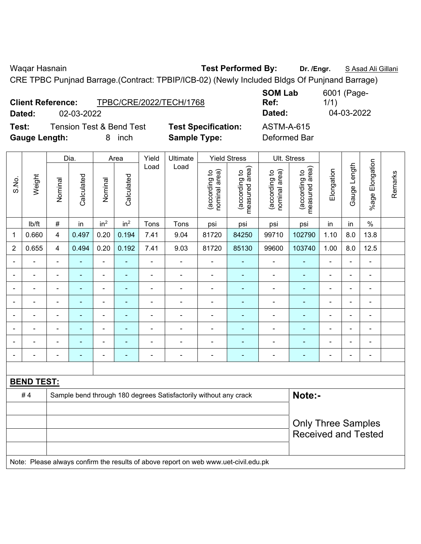Waqar Hasnain **Test Performed By:** Dr. /Engr. **SAsad Ali Gillani** Calleni

CRE TPBC Punjnad Barrage.(Contract: TPBIP/ICB-02) (Newly Included Bldgs Of Punjnand Barrage)

|        | <b>Client Reference:</b> | TPBC/CRE/2022/TECH/1768             |                      |
|--------|--------------------------|-------------------------------------|----------------------|
| Dated: | 02-03-2022               |                                     |                      |
| Test:  |                          | <b>Tension Test &amp; Bend Test</b> | <b>Test Specific</b> |

**Ref:**  1/1) **Dated:** 02-03-2022 **Dated:** 04-03-2022 **ation:** ASTM-A-615

**Gauge Length:** 8 inch **Sample Type:** Deformed Bar

**SOM Lab** 

|                |                   |                | Dia.           |                 | Area            | Yield          | Ultimate                                                                            |                                | <b>Yield Stress</b>             |                                | Ult. Stress                     |                |                |                          |         |
|----------------|-------------------|----------------|----------------|-----------------|-----------------|----------------|-------------------------------------------------------------------------------------|--------------------------------|---------------------------------|--------------------------------|---------------------------------|----------------|----------------|--------------------------|---------|
| S.No.          | Weight            | Nominal        | Calculated     | Nominal         | Calculated      | Load           | Load                                                                                | nominal area)<br>(according to | (according to<br>measured area) | nominal area)<br>(according to | measured area)<br>(according to | Elongation     | Gauge Length   | %age Elongation          | Remarks |
|                | lb/ft             | $\#$           | in             | in <sup>2</sup> | in <sup>2</sup> | Tons           | Tons                                                                                | psi                            | psi                             | psi                            | psi                             | in             | in             | $\frac{0}{0}$            |         |
| 1              | 0.660             | 4              | 0.497          | 0.20            | 0.194           | 7.41           | 9.04                                                                                | 81720                          | 84250                           | 99710                          | 102790                          | 1.10           | 8.0            | 13.8                     |         |
| $\overline{2}$ | 0.655             | 4              | 0.494          | 0.20            | 0.192           | 7.41           | 9.03                                                                                | 81720                          | 85130                           | 99600                          | 103740                          | 1.00           | 8.0            | 12.5                     |         |
|                |                   | $\blacksquare$ | $\blacksquare$ | ÷,              | $\blacksquare$  | $\blacksquare$ | $\overline{a}$                                                                      | $\blacksquare$                 | $\blacksquare$                  | ÷,                             | ÷                               | ÷              |                | $\blacksquare$           |         |
|                |                   | $\blacksquare$ | $\blacksquare$ | $\blacksquare$  |                 |                | $\overline{a}$                                                                      | $\blacksquare$                 | ÷.                              | $\blacksquare$                 | ÷                               |                |                | ÷                        |         |
|                |                   |                |                |                 |                 |                |                                                                                     |                                |                                 |                                |                                 |                |                | ۰                        |         |
| $\blacksquare$ |                   | $\blacksquare$ |                | $\blacksquare$  |                 |                | $\blacksquare$                                                                      | $\blacksquare$                 | $\blacksquare$                  | $\blacksquare$                 | ۰                               | $\blacksquare$ |                | ä,                       |         |
| $\blacksquare$ |                   | ÷,             | $\blacksquare$ | ÷,              |                 | Ē,             | $\blacksquare$                                                                      | $\blacksquare$                 | $\blacksquare$                  | $\blacksquare$                 | ÷                               | ÷              | $\blacksquare$ | ÷                        |         |
|                |                   | $\blacksquare$ | $\blacksquare$ | $\blacksquare$  |                 | $\blacksquare$ | $\blacksquare$                                                                      | $\blacksquare$                 | $\overline{\phantom{0}}$        | $\blacksquare$                 | $\overline{\phantom{0}}$        | $\blacksquare$ |                | $\overline{\phantom{a}}$ |         |
| $\blacksquare$ |                   | $\blacksquare$ | ä,             | ÷,              | $\blacksquare$  | $\blacksquare$ | $\blacksquare$                                                                      | $\blacksquare$                 | $\blacksquare$                  | $\blacksquare$                 | ä,                              | $\blacksquare$ |                | $\blacksquare$           |         |
|                |                   | ÷,             | $\blacksquare$ | $\blacksquare$  | ÷               |                | $\blacksquare$                                                                      | $\blacksquare$                 | ÷                               | $\blacksquare$                 | ä,                              | ÷              |                | $\blacksquare$           |         |
|                |                   |                |                |                 |                 |                |                                                                                     |                                |                                 |                                |                                 |                |                |                          |         |
|                | <b>BEND TEST:</b> |                |                |                 |                 |                |                                                                                     |                                |                                 |                                |                                 |                |                |                          |         |
|                | #4                |                |                |                 |                 |                | Sample bend through 180 degrees Satisfactorily without any crack                    |                                |                                 |                                | Note:-                          |                |                |                          |         |
|                |                   |                |                |                 |                 |                |                                                                                     |                                |                                 |                                |                                 |                |                |                          |         |
|                |                   |                |                |                 |                 |                | <b>Only Three Samples</b>                                                           |                                |                                 |                                |                                 |                |                |                          |         |
|                |                   |                |                |                 |                 |                |                                                                                     |                                |                                 |                                | <b>Received and Tested</b>      |                |                |                          |         |
|                |                   |                |                |                 |                 |                |                                                                                     |                                |                                 |                                |                                 |                |                |                          |         |
|                |                   |                |                |                 |                 |                | Note: Please always confirm the results of above report on web www.uet-civil.edu.pk |                                |                                 |                                |                                 |                |                |                          |         |

6001 (Page-